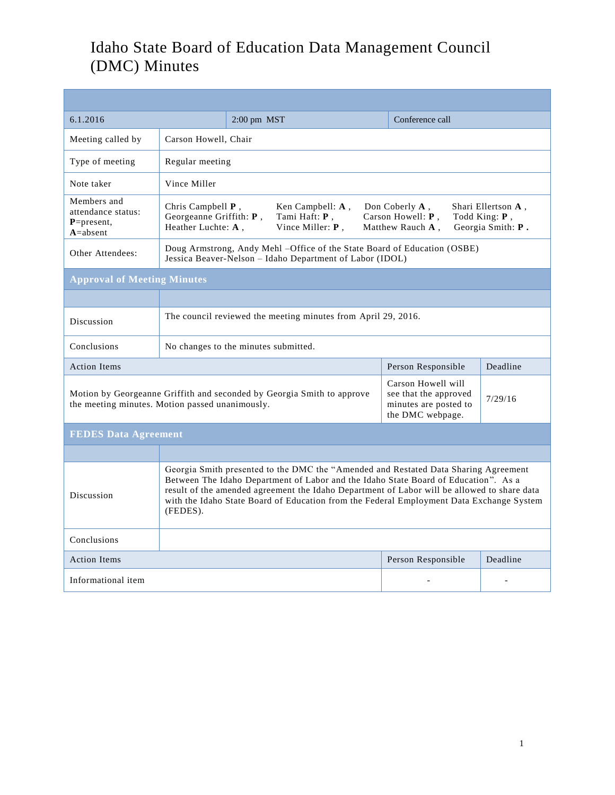## Idaho State Board of Education Data Management Council (DMC) Minutes

| 6.1.2016                                                        |                                                                                                                                                                                                                                                                                                                                                                                   | $2:00$ pm $MST$                                                        | Conference call                                                                          |                |  |  |
|-----------------------------------------------------------------|-----------------------------------------------------------------------------------------------------------------------------------------------------------------------------------------------------------------------------------------------------------------------------------------------------------------------------------------------------------------------------------|------------------------------------------------------------------------|------------------------------------------------------------------------------------------|----------------|--|--|
| Meeting called by                                               | Carson Howell, Chair                                                                                                                                                                                                                                                                                                                                                              |                                                                        |                                                                                          |                |  |  |
| Type of meeting                                                 | Regular meeting                                                                                                                                                                                                                                                                                                                                                                   |                                                                        |                                                                                          |                |  |  |
| Note taker                                                      | Vince Miller                                                                                                                                                                                                                                                                                                                                                                      |                                                                        |                                                                                          |                |  |  |
| Members and<br>attendance status:<br>$P = present,$<br>A=absent | Chris Campbell $P$ ,<br>Ken Campbell: $A$ ,<br>Don Coberly $A$ .<br>Shari Ellertson A,<br>Georgeanne Griffith: P,<br>Tami Haft: P,<br>Carson Howell: P,<br>Todd King: P,<br>Heather Luchte: A,<br>Vince Miller: P,<br>Georgia Smith: P.<br>Matthew Rauch A,                                                                                                                       |                                                                        |                                                                                          |                |  |  |
| Other Attendees:                                                | Doug Armstrong, Andy Mehl -Office of the State Board of Education (OSBE)<br>Jessica Beaver-Nelson - Idaho Department of Labor (IDOL)                                                                                                                                                                                                                                              |                                                                        |                                                                                          |                |  |  |
| <b>Approval of Meeting Minutes</b>                              |                                                                                                                                                                                                                                                                                                                                                                                   |                                                                        |                                                                                          |                |  |  |
|                                                                 |                                                                                                                                                                                                                                                                                                                                                                                   |                                                                        |                                                                                          |                |  |  |
| Discussion                                                      | The council reviewed the meeting minutes from April 29, 2016.                                                                                                                                                                                                                                                                                                                     |                                                                        |                                                                                          |                |  |  |
| Conclusions                                                     | No changes to the minutes submitted.                                                                                                                                                                                                                                                                                                                                              |                                                                        |                                                                                          |                |  |  |
| <b>Action Items</b>                                             |                                                                                                                                                                                                                                                                                                                                                                                   |                                                                        | Person Responsible                                                                       | Deadline       |  |  |
| the meeting minutes. Motion passed unanimously.                 |                                                                                                                                                                                                                                                                                                                                                                                   | Motion by Georgeanne Griffith and seconded by Georgia Smith to approve | Carson Howell will<br>see that the approved<br>minutes are posted to<br>the DMC webpage. | 7/29/16        |  |  |
| <b>FEDES Data Agreement</b>                                     |                                                                                                                                                                                                                                                                                                                                                                                   |                                                                        |                                                                                          |                |  |  |
|                                                                 |                                                                                                                                                                                                                                                                                                                                                                                   |                                                                        |                                                                                          |                |  |  |
| Discussion                                                      | Georgia Smith presented to the DMC the "Amended and Restated Data Sharing Agreement<br>Between The Idaho Department of Labor and the Idaho State Board of Education". As a<br>result of the amended agreement the Idaho Department of Labor will be allowed to share data<br>with the Idaho State Board of Education from the Federal Employment Data Exchange System<br>(FEDES). |                                                                        |                                                                                          |                |  |  |
| Conclusions                                                     |                                                                                                                                                                                                                                                                                                                                                                                   |                                                                        |                                                                                          |                |  |  |
| <b>Action Items</b>                                             |                                                                                                                                                                                                                                                                                                                                                                                   |                                                                        | Person Responsible                                                                       | Deadline       |  |  |
| Informational item                                              |                                                                                                                                                                                                                                                                                                                                                                                   |                                                                        |                                                                                          | $\overline{a}$ |  |  |